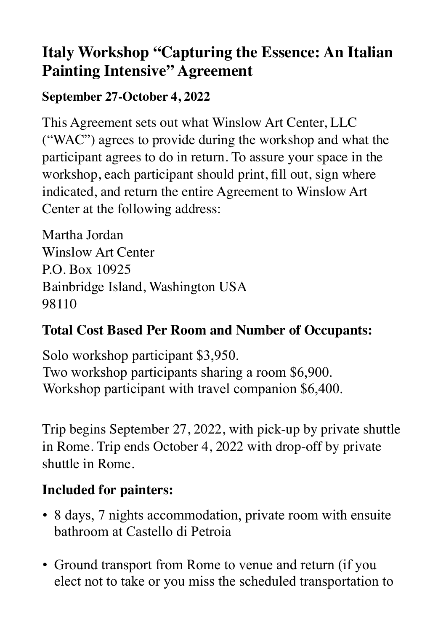# **Italy Workshop "Capturing the Essence: An Italian Painting Intensive" Agreement**

#### **September 27-October 4, 2022**

This Agreement sets out what Winslow Art Center, LLC ("WAC") agrees to provide during the workshop and what the participant agrees to do in return. To assure your space in the workshop, each participant should print, fill out, sign where indicated, and return the entire Agreement to Winslow Art Center at the following address:

Martha Jordan Winslow Art Center P.O. Box 10925 Bainbridge Island, Washington USA 98110

## **Total Cost Based Per Room and Number of Occupants:**

Solo workshop participant \$3,950. Two workshop participants sharing a room \$6,900. Workshop participant with travel companion \$6,400.

Trip begins September 27, 2022, with pick-up by private shuttle in Rome. Trip ends October 4, 2022 with drop-off by private shuttle in Rome.

## **Included for painters:**

- 8 days, 7 nights accommodation, private room with ensuite bathroom at Castello di Petroia
- Ground transport from Rome to venue and return (if you elect not to take or you miss the scheduled transportation to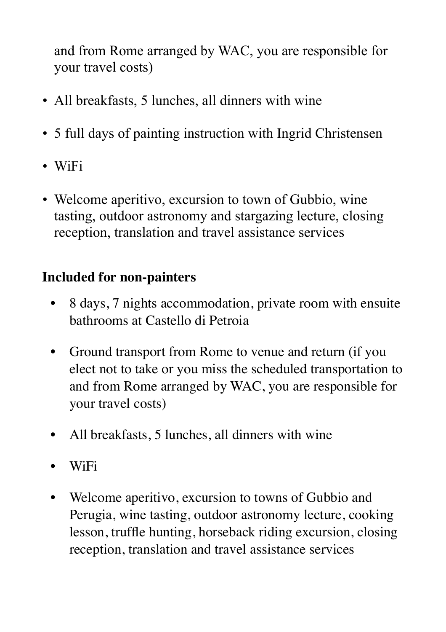and from Rome arranged by WAC, you are responsible for your travel costs)

- All breakfasts, 5 lunches, all dinners with wine
- 5 full days of painting instruction with Ingrid Christensen
- WiFi
- Welcome aperitivo, excursion to town of Gubbio, wine tasting, outdoor astronomy and stargazing lecture, closing reception, translation and travel assistance services

## **Included for non-painters**

- 8 days, 7 nights accommodation, private room with ensuite bathrooms at Castello di Petroia
- Ground transport from Rome to venue and return (if you elect not to take or you miss the scheduled transportation to and from Rome arranged by WAC, you are responsible for your travel costs)
- All breakfasts, 5 lunches, all dinners with wine
- WiFi
- Welcome aperitivo, excursion to towns of Gubbio and Perugia, wine tasting, outdoor astronomy lecture, cooking lesson, truffle hunting, horseback riding excursion, closing reception, translation and travel assistance services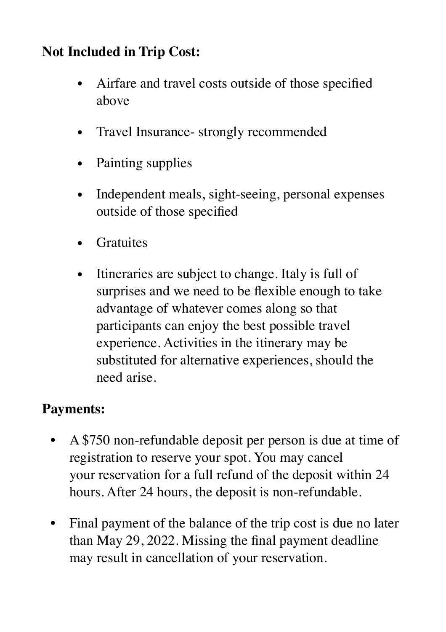## **Not Included in Trip Cost:**

- Airfare and travel costs outside of those specified above
- Travel Insurance- strongly recommended
- Painting supplies
- Independent meals, sight-seeing, personal expenses outside of those specified
- Gratuites
- Itineraries are subject to change. Italy is full of surprises and we need to be flexible enough to take advantage of whatever comes along so that participants can enjoy the best possible travel experience. Activities in the itinerary may be substituted for alternative experiences, should the need arise.

## **Payments:**

- A \$750 non-refundable deposit per person is due at time of registration to reserve your spot. You may cancel your reservation for a full refund of the deposit within 24 hours. After 24 hours, the deposit is non-refundable.
- Final payment of the balance of the trip cost is due no later than May 29, 2022. Missing the final payment deadline may result in cancellation of your reservation.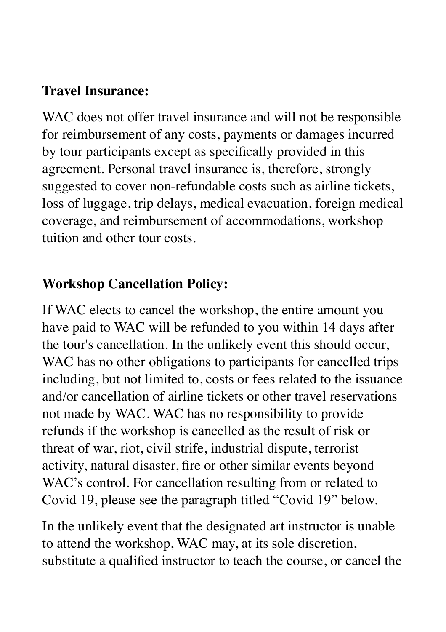## **Travel Insurance:**

WAC does not offer travel insurance and will not be responsible for reimbursement of any costs, payments or damages incurred by tour participants except as specifically provided in this agreement. Personal travel insurance is, therefore, strongly suggested to cover non-refundable costs such as airline tickets, loss of luggage, trip delays, medical evacuation, foreign medical coverage, and reimbursement of accommodations, workshop tuition and other tour costs.

#### **Workshop Cancellation Policy:**

If WAC elects to cancel the workshop, the entire amount you have paid to WAC will be refunded to you within 14 days after the tour's cancellation. In the unlikely event this should occur, WAC has no other obligations to participants for cancelled trips including, but not limited to, costs or fees related to the issuance and/or cancellation of airline tickets or other travel reservations not made by WAC. WAC has no responsibility to provide refunds if the workshop is cancelled as the result of risk or threat of war, riot, civil strife, industrial dispute, terrorist activity, natural disaster, fire or other similar events beyond WAC's control. For cancellation resulting from or related to Covid 19, please see the paragraph titled "Covid 19" below.

In the unlikely event that the designated art instructor is unable to attend the workshop, WAC may, at its sole discretion, substitute a qualified instructor to teach the course, or cancel the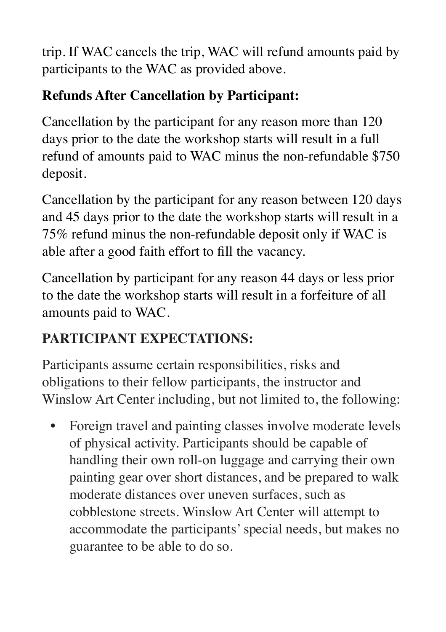trip. If WAC cancels the trip, WAC will refund amounts paid by participants to the WAC as provided above.

## **Refunds After Cancellation by Participant:**

Cancellation by the participant for any reason more than 120 days prior to the date the workshop starts will result in a full refund of amounts paid to WAC minus the non-refundable \$750 deposit.

Cancellation by the participant for any reason between 120 days and 45 days prior to the date the workshop starts will result in a 75% refund minus the non-refundable deposit only if WAC is able after a good faith effort to fill the vacancy.

Cancellation by participant for any reason 44 days or less prior to the date the workshop starts will result in a forfeiture of all amounts paid to WAC.

# **PARTICIPANT EXPECTATIONS:**

Participants assume certain responsibilities, risks and obligations to their fellow participants, the instructor and Winslow Art Center including, but not limited to, the following:

• Foreign travel and painting classes involve moderate levels of physical activity. Participants should be capable of handling their own roll-on luggage and carrying their own painting gear over short distances, and be prepared to walk moderate distances over uneven surfaces, such as cobblestone streets. Winslow Art Center will attempt to accommodate the participants' special needs, but makes no guarantee to be able to do so.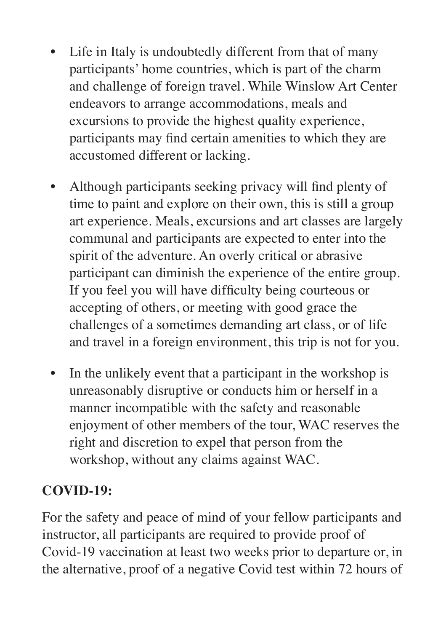- Life in Italy is undoubtedly different from that of many participants' home countries, which is part of the charm and challenge of foreign travel. While Winslow Art Center endeavors to arrange accommodations, meals and excursions to provide the highest quality experience, participants may find certain amenities to which they are accustomed different or lacking.
- Although participants seeking privacy will find plenty of time to paint and explore on their own, this is still a group art experience. Meals, excursions and art classes are largely communal and participants are expected to enter into the spirit of the adventure. An overly critical or abrasive participant can diminish the experience of the entire group. If you feel you will have difficulty being courteous or accepting of others, or meeting with good grace the challenges of a sometimes demanding art class, or of life and travel in a foreign environment, this trip is not for you.
- In the unlikely event that a participant in the workshop is unreasonably disruptive or conducts him or herself in a manner incompatible with the safety and reasonable enjoyment of other members of the tour, WAC reserves the right and discretion to expel that person from the workshop, without any claims against WAC.

## **COVID-19:**

For the safety and peace of mind of your fellow participants and instructor, all participants are required to provide proof of Covid-19 vaccination at least two weeks prior to departure or, in the alternative, proof of a negative Covid test within 72 hours of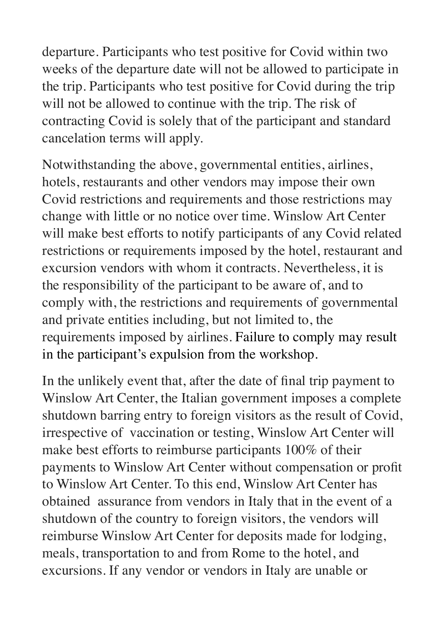departure. Participants who test positive for Covid within two weeks of the departure date will not be allowed to participate in the trip. Participants who test positive for Covid during the trip will not be allowed to continue with the trip. The risk of contracting Covid is solely that of the participant and standard cancelation terms will apply.

Notwithstanding the above, governmental entities, airlines, hotels, restaurants and other vendors may impose their own Covid restrictions and requirements and those restrictions may change with little or no notice over time. Winslow Art Center will make best efforts to notify participants of any Covid related restrictions or requirements imposed by the hotel, restaurant and excursion vendors with whom it contracts. Nevertheless, it is the responsibility of the participant to be aware of, and to comply with, the restrictions and requirements of governmental and private entities including, but not limited to, the requirements imposed by airlines. Failure to comply may result in the participant's expulsion from the workshop.

In the unlikely event that, after the date of final trip payment to Winslow Art Center, the Italian government imposes a complete shutdown barring entry to foreign visitors as the result of Covid, irrespective of vaccination or testing, Winslow Art Center will make best efforts to reimburse participants 100% of their payments to Winslow Art Center without compensation or profit to Winslow Art Center. To this end, Winslow Art Center has obtained assurance from vendors in Italy that in the event of a shutdown of the country to foreign visitors, the vendors will reimburse Winslow Art Center for deposits made for lodging, meals, transportation to and from Rome to the hotel, and excursions. If any vendor or vendors in Italy are unable or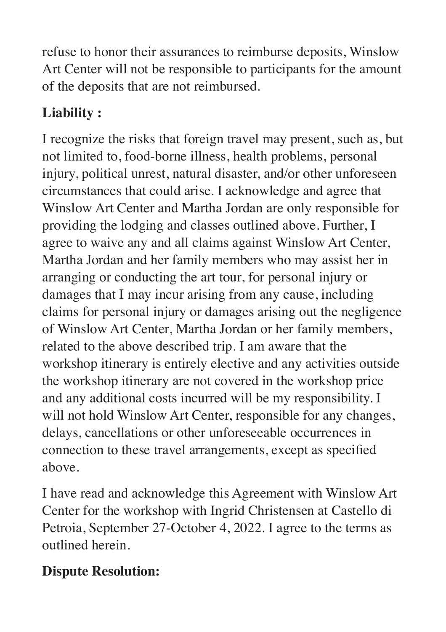refuse to honor their assurances to reimburse deposits, Winslow Art Center will not be responsible to participants for the amount of the deposits that are not reimbursed.

# **Liability :**

I recognize the risks that foreign travel may present, such as, but not limited to, food-borne illness, health problems, personal injury, political unrest, natural disaster, and/or other unforeseen circumstances that could arise. I acknowledge and agree that Winslow Art Center and Martha Jordan are only responsible for providing the lodging and classes outlined above. Further, I agree to waive any and all claims against Winslow Art Center, Martha Jordan and her family members who may assist her in arranging or conducting the art tour, for personal injury or damages that I may incur arising from any cause, including claims for personal injury or damages arising out the negligence of Winslow Art Center, Martha Jordan or her family members, related to the above described trip. I am aware that the workshop itinerary is entirely elective and any activities outside the workshop itinerary are not covered in the workshop price and any additional costs incurred will be my responsibility. I will not hold Winslow Art Center, responsible for any changes, delays, cancellations or other unforeseeable occurrences in connection to these travel arrangements, except as specified above.

I have read and acknowledge this Agreement with Winslow Art Center for the workshop with Ingrid Christensen at Castello di Petroia, September 27-October 4, 2022. I agree to the terms as outlined herein.

## **Dispute Resolution:**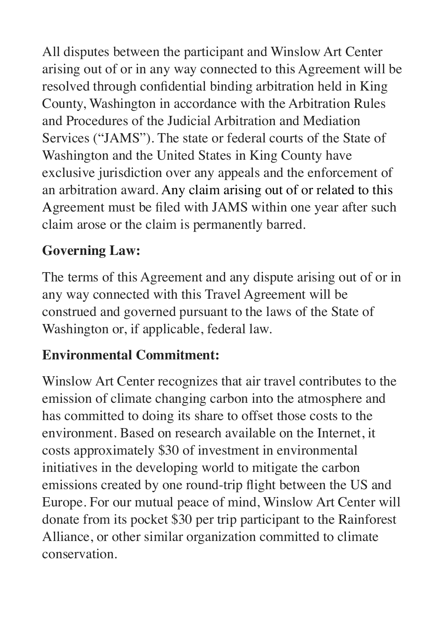All disputes between the participant and Winslow Art Center arising out of or in any way connected to this Agreement will be resolved through confidential binding arbitration held in King County, Washington in accordance with the Arbitration Rules and Procedures of the Judicial Arbitration and Mediation Services ("JAMS"). The state or federal courts of the State of Washington and the United States in King County have exclusive jurisdiction over any appeals and the enforcement of an arbitration award. Any claim arising out of or related to this Agreement must be filed with JAMS within one year after such claim arose or the claim is permanently barred.

## **Governing Law:**

The terms of this Agreement and any dispute arising out of or in any way connected with this Travel Agreement will be construed and governed pursuant to the laws of the State of Washington or, if applicable, federal law.

## **Environmental Commitment:**

Winslow Art Center recognizes that air travel contributes to the emission of climate changing carbon into the atmosphere and has committed to doing its share to offset those costs to the environment. Based on research available on the Internet, it costs approximately \$30 of investment in environmental initiatives in the developing world to mitigate the carbon emissions created by one round-trip flight between the US and Europe. For our mutual peace of mind, Winslow Art Center will donate from its pocket \$30 per trip participant to the Rainforest Alliance, or other similar organization committed to climate conservation.